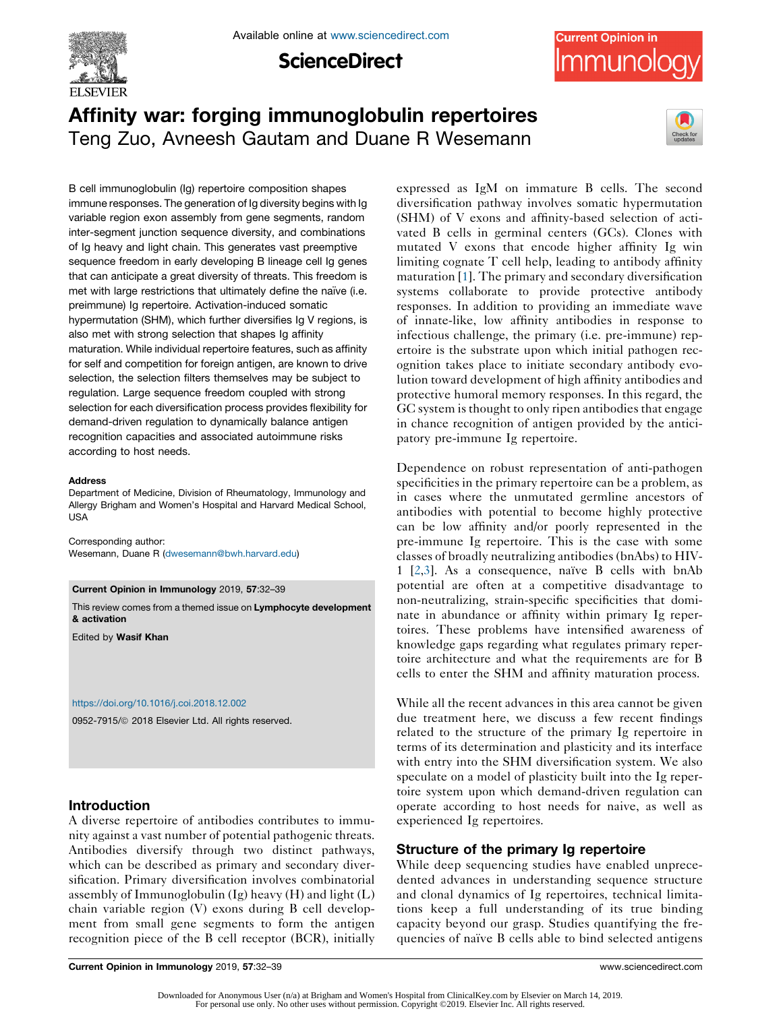

Available online at [www.sciencedirect.com](http://www.sciencedirect.com/science/journal/09527915)





# Affinity war: forging immunoglobulin repertoires Teng Zuo, Avneesh Gautam and Duane R Wesemann



B cell immunoglobulin (Ig) repertoire composition shapes immune responses. The generation of Ig diversity begins with Ig variable region exon assembly from gene segments, random inter-segment junction sequence diversity, and combinations of Ig heavy and light chain. This generates vast preemptive sequence freedom in early developing B lineage cell Ig genes that can anticipate a great diversity of threats. This freedom is met with large restrictions that ultimately define the naïve (i.e. preimmune) Ig repertoire. Activation-induced somatic hypermutation (SHM), which further diversifies Ig V regions, is also met with strong selection that shapes Ig affinity maturation. While individual repertoire features, such as affinity for self and competition for foreign antigen, are known to drive selection, the selection filters themselves may be subject to regulation. Large sequence freedom coupled with strong selection for each diversification process provides flexibility for demand-driven regulation to dynamically balance antigen recognition capacities and associated autoimmune risks according to host needs.

#### Address

Department of Medicine, Division of Rheumatology, Immunology and Allergy Brigham and Women's Hospital and Harvard Medical School, USA

Corresponding author: Wesemann, Duane R ([dwesemann@bwh.harvard.edu\)](mailto:dwesemann@bwh.harvard.edu)

#### Current Opinion in Immunology 2019, 57:32–39

This review comes from a themed issue on Lymphocyte development & activation

Edited by Wasif Khan

#### <https://doi.org/10.1016/j.coi.2018.12.002>

0952-7915/ã 2018 Elsevier Ltd. All rights reserved.

## Introduction

A diverse repertoire of antibodies contributes to immunity against a vast number of potential pathogenic threats. Antibodies diversify through two distinct pathways, which can be described as primary and secondary diversification. Primary diversification involves combinatorial assembly of Immunoglobulin (Ig) heavy (H) and light (L) chain variable region (V) exons during B cell development from small gene segments to form the antigen recognition piece of the B cell receptor (BCR), initially expressed as IgM on immature B cells. The second diversification pathway involves somatic hypermutation (SHM) of V exons and affinity-based selection of activated B cells in germinal centers (GCs). Clones with mutated V exons that encode higher affinity Ig win limiting cognate T cell help, leading to antibody affinity maturation [\[1](#page-5-0)]. The primary and secondary diversification systems collaborate to provide protective antibody responses. In addition to providing an immediate wave of innate-like, low affinity antibodies in response to infectious challenge, the primary (i.e. pre-immune) repertoire is the substrate upon which initial pathogen recognition takes place to initiate secondary antibody evolution toward development of high affinity antibodies and protective humoral memory responses. In this regard, the GC system is thought to only ripen antibodies that engage in chance recognition of antigen provided by the anticipatory pre-immune Ig repertoire.

Dependence on robust representation of anti-pathogen specificities in the primary repertoire can be a problem, as in cases where the unmutated germline ancestors of antibodies with potential to become highly protective can be low affinity and/or poorly represented in the pre-immune Ig repertoire. This is the case with some classes of broadly neutralizing antibodies (bnAbs) to HIV-1  $[2,3]$  $[2,3]$  $[2,3]$ . As a consequence, naïve B cells with bnAb potential are often at a competitive disadvantage to non-neutralizing, strain-specific specificities that dominate in abundance or affinity within primary Ig repertoires. These problems have intensified awareness of knowledge gaps regarding what regulates primary repertoire architecture and what the requirements are for B cells to enter the SHM and affinity maturation process.

While all the recent advances in this area cannot be given due treatment here, we discuss a few recent findings related to the structure of the primary Ig repertoire in terms of its determination and plasticity and its interface with entry into the SHM diversification system. We also speculate on a model of plasticity built into the Ig repertoire system upon which demand-driven regulation can operate according to host needs for naive, as well as experienced Ig repertoires.

# Structure of the primary Ig repertoire

While deep sequencing studies have enabled unprecedented advances in understanding sequence structure and clonal dynamics of Ig repertoires, technical limitations keep a full understanding of its true binding capacity beyond our grasp. Studies quantifying the frequencies of naïve B cells able to bind selected antigens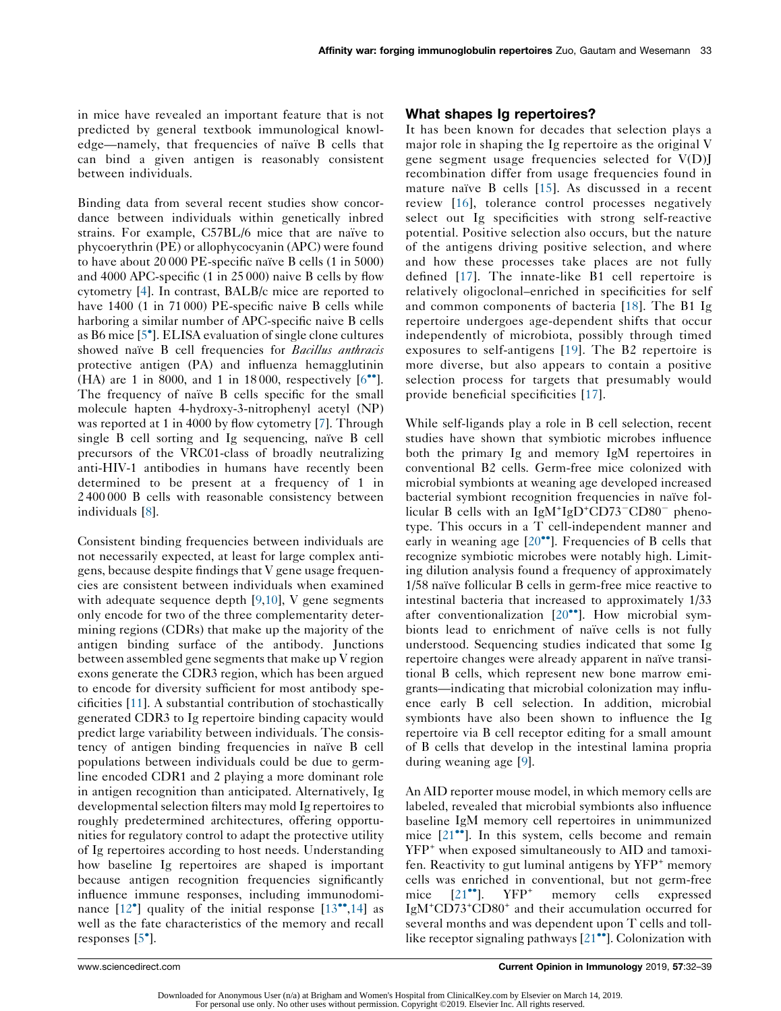in mice have revealed an important feature that is not predicted by general textbook immunological knowledge—namely, that frequencies of naïve B cells that can bind a given antigen is reasonably consistent between individuals.

Binding data from several recent studies show concordance between individuals within genetically inbred strains. For example, C57BL/6 mice that are naïve to phycoerythrin (PE) or allophycocyanin (APC) were found to have about  $20000$  PE-specific naïve B cells  $(1 \text{ in } 5000)$ and 4000 APC-specific (1 in 25 000) naive B cells by flow cytometry [\[4](#page-5-0)]. In contrast, BALB/c mice are reported to have 1400 (1 in 71000) PE-specific naive B cells while harboring a similar number of APC-specific naive B cells as B6 mice [5 ]. ELISA [evaluation](#page-5-0) of single clone cultures showed naïve B cell frequencies for Bacillus anthracis protective antigen (PA) and influenza hemagglutinin (HA) are 1 in 8000, and 1 in 18000, respectively  $[6^{\bullet\bullet}]$ . The frequency of naïve B cells specific for the small molecule hapten 4-hydroxy-3-nitrophenyl acetyl (NP) was reported at 1 in 4000 by flow cytometry [\[7](#page-5-0)]. Through single  $B$  cell sorting and Ig sequencing, naïve  $B$  cell precursors of the VRC01-class of broadly neutralizing anti-HIV-1 antibodies in humans have recently been determined to be present at a frequency of 1 in 2 400 000 B cells with reasonable consistency between individuals [\[8](#page-5-0)].

Consistent binding frequencies between individuals are not necessarily expected, at least for large complex antigens, because despite findings that V gene usage frequencies are consistent between individuals when examined with adequate sequence depth [\[9](#page-5-0),[10\]](#page-5-0), V gene segments only encode for two of the three complementarity determining regions (CDRs) that make up the majority of the antigen binding surface of the antibody. Junctions between assembled gene segments that make up V region exons generate the CDR3 region, which has been argued to encode for diversity sufficient for most antibody specificities [\[11](#page-5-0)]. A substantial contribution of stochastically generated CDR3 to Ig repertoire binding capacity would predict large variability between individuals. The consistency of antigen binding frequencies in naïve B cell populations between individuals could be due to germline encoded CDR1 and 2 playing a more dominant role in antigen recognition than anticipated. Alternatively, Ig developmental selection filters may mold Ig repertoires to roughly predetermined architectures, offering opportunities for regulatory control to adapt the protective utility of Ig repertoires according to host needs. Understanding how baseline Ig repertoires are shaped is important because antigen recognition frequencies significantly influence immune responses, including immunodominance  $[12^{\bullet}]$  quality of the initial [response](#page-5-0)  $[13^{\bullet\bullet}, 14]$  $[13^{\bullet\bullet}, 14]$  $[13^{\bullet\bullet}, 14]$  $[13^{\bullet\bullet}, 14]$  as well as the fate characteristics of the memory and recall responses [5 [\].](#page-5-0)

## What shapes Ig repertoires?

It has been known for decades that selection plays a major role in shaping the Ig repertoire as the original V gene segment usage frequencies selected for V(D)J recombination differ from usage frequencies found in mature naïve B cells  $[15]$  $[15]$  $[15]$ . As discussed in a recent review [[16\]](#page-6-0), tolerance control processes negatively select out Ig specificities with strong self-reactive potential. Positive selection also occurs, but the nature of the antigens driving positive selection, and where and how these processes take places are not fully defined [[17](#page-6-0)]. The innate-like B1 cell repertoire is relatively oligoclonal–enriched in specificities for self and common components of bacteria [[18](#page-6-0)]. The B1 Ig repertoire undergoes age-dependent shifts that occur independently of microbiota, possibly through timed exposures to self-antigens [[19](#page-6-0)]. The B2 repertoire is more diverse, but also appears to contain a positive selection process for targets that presumably would provide beneficial specificities [\[17](#page-6-0)].

While self-ligands play a role in B cell selection, recent studies have shown that symbiotic microbes influence both the primary Ig and memory IgM repertoires in conventional B2 cells. Germ-free mice colonized with microbial symbionts at weaning age developed increased bacterial symbiont recognition frequencies in naïve follicular B cells with an IgM<sup>+</sup>IgD<sup>+</sup>CD73<sup>-</sup>CD80<sup>-</sup> phenotype. This occurs in a T cell-independent manner and early in weaning age  $[20\degree]$ . [Frequencies](#page-6-0) of B cells that recognize symbiotic microbes were notably high. Limiting dilution analysis found a frequency of approximately 1/58 naïve follicular B cells in germ-free mice reactive to intestinal bacteria that increased to approximately 1/33 after conventionalization  $[20^{\bullet\bullet}]$ . How [microbial](#page-6-0) symbionts lead to enrichment of naïve cells is not fully understood. Sequencing studies indicated that some Ig repertoire changes were already apparent in naïve transitional B cells, which represent new bone marrow emigrants—indicating that microbial colonization may influence early B cell selection. In addition, microbial symbionts have also been shown to influence the Ig repertoire via B cell receptor editing for a small amount of B cells that develop in the intestinal lamina propria during weaning age [\[9](#page-5-0)].

An AID reporter mouse model, in which memory cells are labeled, revealed that microbial symbionts also influence baseline IgM memory cell repertoires in unimmunized mice  $[21$ <sup> $\bullet$ </sup>. In this system, cells [become](#page-6-0) and remain YFP<sup>+</sup> when exposed simultaneously to AID and tamoxifen. Reactivity to gut luminal antigens by YFP<sup>+</sup> memory cells was enriched in conventional, but not germ-free mice  $[21^{\bullet}]$ . [YFP](#page-6-0)<sup>+</sup> memory cells expressed IgM<sup>+</sup>CD73<sup>+</sup>CD80<sup>+</sup> and their accumulation occurred for several months and was dependent upon T cells and tolllike receptor signaling pathways  $[21\text{''}]$ . [Colonization](#page-6-0) with

Downloaded for Anonymous User (n/a) at Brigham and Women's Hospital from ClinicalKey.com by Elsevier on March 14, 2019. For personal use only. No other uses without permission. Copyright ©2019. Elsevier Inc. All rights reserved.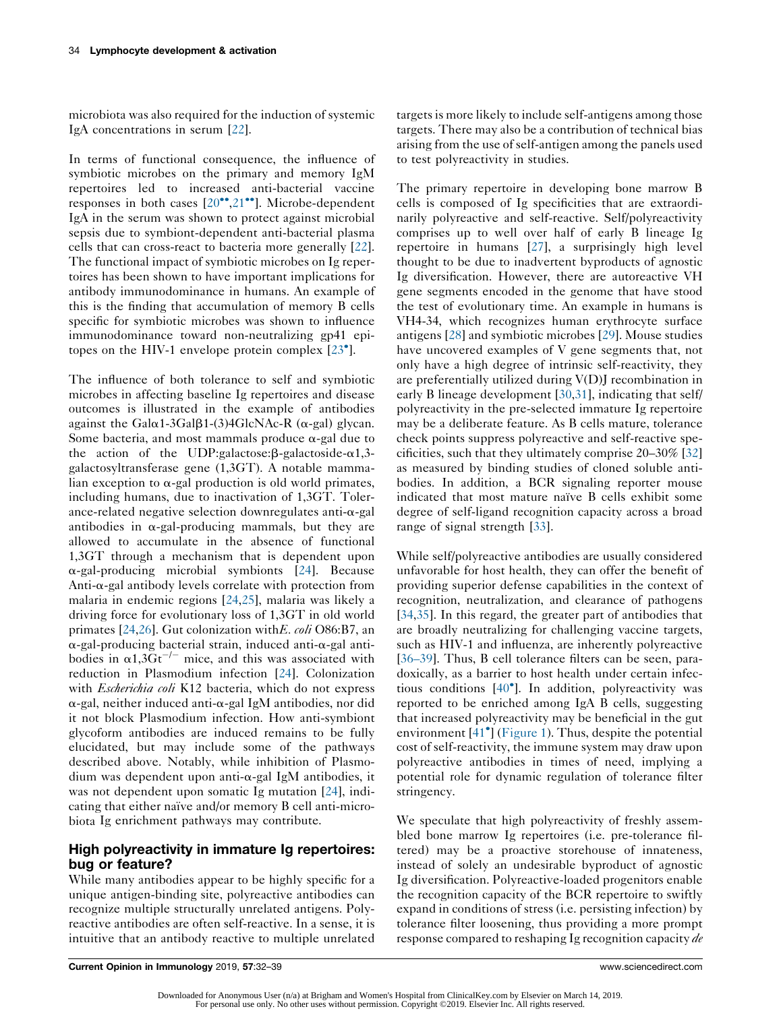microbiota was also required for the induction of systemic IgA concentrations in serum [[22\]](#page-6-0).

In terms of functional consequence, the influence of symbiotic microbes on the primary and memory IgM repertoires led to increased anti-bacterial vaccine responses in both cases  $[20^{\bullet\bullet}, 21^{\bullet\bullet}]$  $[20^{\bullet\bullet}, 21^{\bullet\bullet}]$ . [Microbe-dependent](#page-6-0) IgA in the serum was shown to protect against microbial sepsis due to symbiont-dependent anti-bacterial plasma cells that can cross-react to bacteria more generally [\[22](#page-6-0)]. The functional impact of symbiotic microbes on Ig repertoires has been shown to have important implications for antibody immunodominance in humans. An example of this is the finding that accumulation of memory B cells specific for symbiotic microbes was shown to influence immunodominance toward non-neutralizing gp41 epitopes on the HIV-1 envelope protein complex [[23](#page-6-0) ].

The influence of both tolerance to self and symbiotic microbes in affecting baseline Ig repertoires and disease outcomes is illustrated in the example of antibodies against the Gal $\alpha$ 1-3Gal $\beta$ 1-(3)4GlcNAc-R ( $\alpha$ -gal) glycan. Some bacteria, and most mammals produce  $\alpha$ -gal due to the action of the UDP:galactose: $\beta$ -galactoside- $\alpha$ 1,3galactosyltransferase gene (1,3GT). A notable mammalian exception to  $\alpha$ -gal production is old world primates, including humans, due to inactivation of 1,3GT. Tolerance-related negative selection downregulates anti- $\alpha$ -gal antibodies in  $\alpha$ -gal-producing mammals, but they are allowed to accumulate in the absence of functional 1,3GT through a mechanism that is dependent upon  $\alpha$ -gal-producing microbial symbionts [\[24](#page-6-0)]. Because Anti- $\alpha$ -gal antibody levels correlate with protection from malaria in endemic regions [\[24](#page-6-0),[25\]](#page-6-0), malaria was likely a driving force for evolutionary loss of 1,3GT in old world primates [\[24](#page-6-0),[26\]](#page-6-0). Gut colonization withE. coli O86:B7, an  $\alpha$ -gal-producing bacterial strain, induced anti- $\alpha$ -gal antibodies in  $\alpha$ 1,3Gt<sup>-/-</sup> mice, and this was associated with reduction in Plasmodium infection [[24\]](#page-6-0). Colonization with *Escherichia coli* K12 bacteria, which do not express  $\alpha$ -gal, neither induced anti- $\alpha$ -gal IgM antibodies, nor did it not block Plasmodium infection. How anti-symbiont glycoform antibodies are induced remains to be fully elucidated, but may include some of the pathways described above. Notably, while inhibition of Plasmodium was dependent upon anti- $\alpha$ -gal IgM antibodies, it was not dependent upon somatic Ig mutation [\[24](#page-6-0)], indicating that either naïve and/or memory B cell anti-microbiota Ig enrichment pathways may contribute.

## High polyreactivity in immature Ig repertoires: bug or feature?

While many antibodies appear to be highly specific for a unique antigen-binding site, polyreactive antibodies can recognize multiple structurally unrelated antigens. Polyreactive antibodies are often self-reactive. In a sense, it is intuitive that an antibody reactive to multiple unrelated

targets is more likely to include self-antigens among those targets. There may also be a contribution of technical bias arising from the use ofself-antigen among the panels used to test polyreactivity in studies.

The primary repertoire in developing bone marrow B cells is composed of Ig specificities that are extraordinarily polyreactive and self-reactive. Self/polyreactivity comprises up to well over half of early B lineage Ig repertoire in humans [[27\]](#page-6-0), a surprisingly high level thought to be due to inadvertent byproducts of agnostic Ig diversification. However, there are autoreactive VH gene segments encoded in the genome that have stood the test of evolutionary time. An example in humans is VH4-34, which recognizes human erythrocyte surface antigens [\[28](#page-6-0)] and symbiotic microbes [\[29](#page-6-0)]. Mouse studies have uncovered examples of V gene segments that, not only have a high degree of intrinsic self-reactivity, they are preferentially utilized during V(D)J recombination in early B lineage development [[30,31](#page-6-0)], indicating that self/ polyreactivity in the pre-selected immature Ig repertoire may be a deliberate feature. As B cells mature, tolerance check points suppress polyreactive and self-reactive specificities, such that they ultimately comprise 20–30% [\[32\]](#page-6-0) as measured by binding studies of cloned soluble antibodies. In addition, a BCR signaling reporter mouse indicated that most mature naïve B cells exhibit some degree of self-ligand recognition capacity across a broad range of signal strength [[33\]](#page-6-0).

While self/polyreactive antibodies are usually considered unfavorable for host health, they can offer the benefit of providing superior defense capabilities in the context of recognition, neutralization, and clearance of pathogens [\[34](#page-6-0),[35\]](#page-6-0). In this regard, the greater part of antibodies that are broadly neutralizing for challenging vaccine targets, such as HIV-1 and influenza, are inherently polyreactive [\[36–39](#page-6-0)]. Thus, B cell tolerance filters can be seen, paradoxically, as a barrier to host health under certain infectious conditions [40 ]. In addition, [polyreactivity](#page-6-0) was reported to be enriched among IgA B cells, suggesting that increased polyreactivity may be beneficial in the gut environment [[41](#page-6-0) ] ([Figure](#page-3-0) 1). Thus, despite the potential cost of self-reactivity, the immune system may draw upon polyreactive antibodies in times of need, implying a potential role for dynamic regulation of tolerance filter stringency.

We speculate that high polyreactivity of freshly assembled bone marrow Ig repertoires (i.e. pre-tolerance filtered) may be a proactive storehouse of innateness, instead of solely an undesirable byproduct of agnostic Ig diversification. Polyreactive-loaded progenitors enable the recognition capacity of the BCR repertoire to swiftly expand in conditions of stress (i.e. persisting infection) by tolerance filter loosening, thus providing a more prompt response compared to reshaping Ig recognition capacity de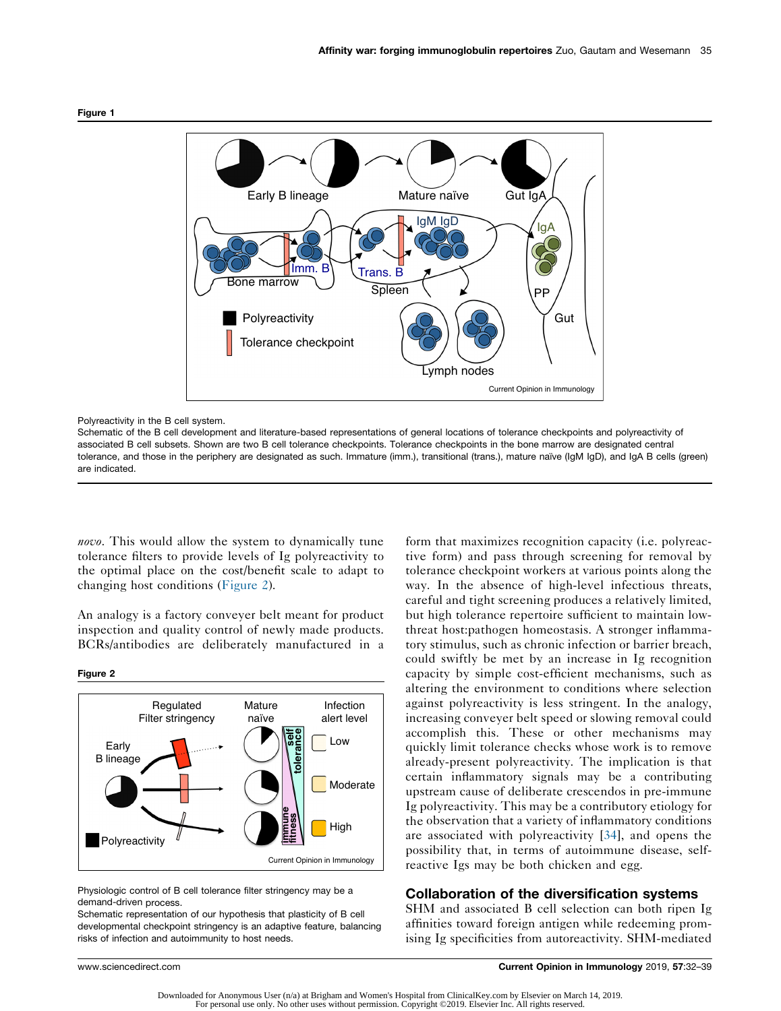

#### <span id="page-3-0"></span>Figure 1



Schematic of the B cell development and literature-based representations of general locations of tolerance checkpoints and polyreactivity of associated B cell subsets. Shown are two B cell tolerance checkpoints. Tolerance checkpoints in the bone marrow are designated central tolerance, and those in the periphery are designated as such. Immature (imm.), transitional (trans.), mature naïve (IgM IgD), and IgA B cells (green) are indicated.

*novo*. This would allow the system to dynamically tune tolerance filters to provide levels of Ig polyreactivity to the optimal place on the cost/benefit scale to adapt to changing host conditions (Figure 2).

An analogy is a factory conveyer belt meant for product inspection and quality control of newly made products. BCRs/antibodies are deliberately manufactured in a

#### Figure 2



Physiologic control of B cell tolerance filter stringency may be a demand-driven process.

Schematic representation of our hypothesis that plasticity of B cell developmental checkpoint stringency is an adaptive feature, balancing risks of infection and autoimmunity to host needs.

form that maximizes recognition capacity (i.e. polyreactive form) and pass through screening for removal by tolerance checkpoint workers at various points along the way. In the absence of high-level infectious threats, careful and tight screening produces a relatively limited, but high tolerance repertoire sufficient to maintain lowthreat host:pathogen homeostasis. A stronger inflammatory stimulus, such as chronic infection or barrier breach, could swiftly be met by an increase in Ig recognition capacity by simple cost-efficient mechanisms, such as altering the environment to conditions where selection against polyreactivity is less stringent. In the analogy, increasing conveyer belt speed or slowing removal could accomplish this. These or other mechanisms may quickly limit tolerance checks whose work is to remove already-present polyreactivity. The implication is that certain inflammatory signals may be a contributing upstream cause of deliberate crescendos in pre-immune Ig polyreactivity. This may be a contributory etiology for the observation that a variety of inflammatory conditions are associated with polyreactivity [[34\]](#page-6-0), and opens the possibility that, in terms of autoimmune disease, selfreactive Igs may be both chicken and egg.

# Collaboration of the diversification systems

SHM and associated B cell selection can both ripen Ig affinities toward foreign antigen while redeeming promising Ig specificities from autoreactivity. SHM-mediated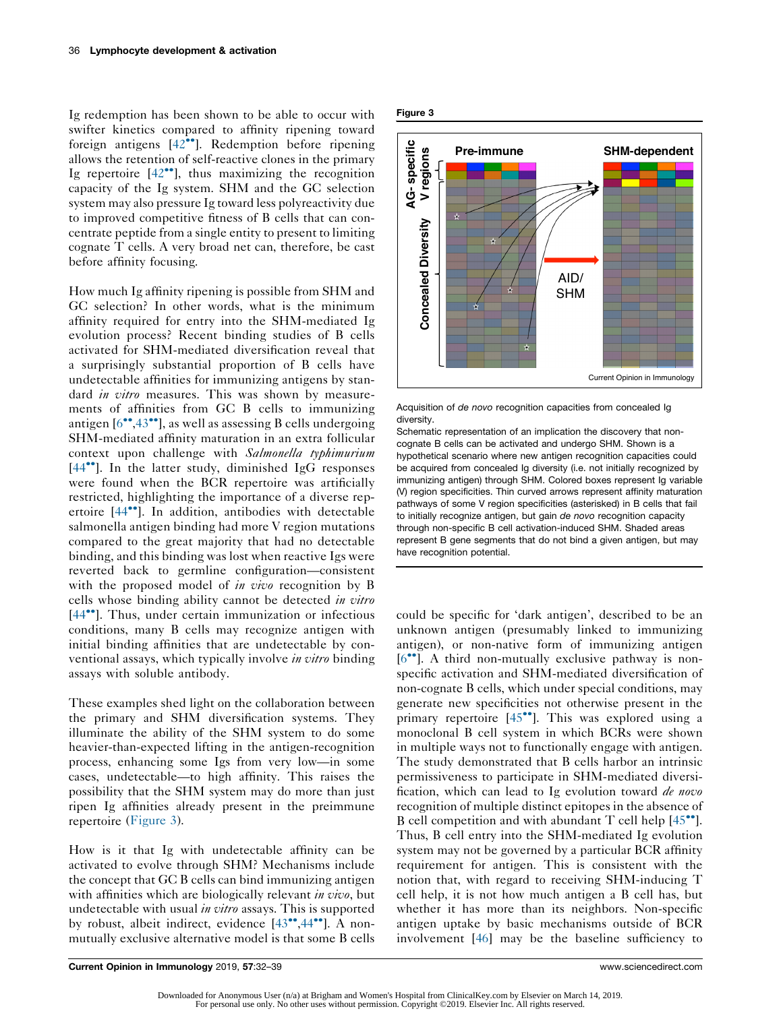Ig redemption has been shown to be able to occur with swifter kinetics compared to affinity ripening toward foreign antigens  $[42^{\bullet\bullet}]$ . [Redemption](#page-6-0) before ripening allows the retention of self-reactive clones in the primary Ig repertoire  $[42^{\bullet\bullet}]$ , thus [maximizing](#page-6-0) the recognition capacity of the Ig system. SHM and the GC selection system may also pressure Ig toward less polyreactivity due to improved competitive fitness of B cells that can concentrate peptide from a single entity to present to limiting cognate T cells. A very broad net can, therefore, be cast before affinity focusing.

How much Ig affinity ripening is possible from SHM and GC selection? In other words, what is the minimum affinity required for entry into the SHM-mediated Ig evolution process? Recent binding studies of B cells activated for SHM-mediated diversification reveal that a surprisingly substantial proportion of B cells have undetectable affinities for immunizing antigens by standard *in vitro* measures. This was shown by measurements of affinities from GC B cells to immunizing antigen  $[6^{\bullet\bullet}, 43^{\bullet\bullet}]$ , as well as assessing B cells [undergoing](#page-6-0) SHM-mediated affinity maturation in an extra follicular context upon challenge with Salmonella typhimurium [44 $\cdot$ ]. In the latter study, [diminished](#page-6-0) IgG responses were found when the BCR repertoire was artificially restricted, highlighting the importance of a diverse repertoire  $[44\cdot]$ . In addition, antibodies with [detectable](#page-6-0) salmonella antigen binding had more V region mutations compared to the great majority that had no detectable binding, and this binding was lost when reactive Igs were reverted back to germline configuration—consistent with the proposed model of *in vivo* recognition by B cells whose binding ability cannot be detected in vitro [44<sup>••</sup>]. Thus, under certain [immunization](#page-6-0) or infectious conditions, many B cells may recognize antigen with initial binding affinities that are undetectable by conventional assays, which typically involve in vitro binding assays with soluble antibody.

These examples shed light on the collaboration between the primary and SHM diversification systems. They illuminate the ability of the SHM system to do some heavier-than-expected lifting in the antigen-recognition process, enhancing some Igs from very low—in some cases, undetectable—to high affinity. This raises the possibility that the SHM system may do more than just ripen Ig affinities already present in the preimmune repertoire (Figure 3).

How is it that Ig with undetectable affinity can be activated to evolve through SHM? Mechanisms include the concept that GC B cells can bind immunizing antigen with affinities which are biologically relevant in vivo, but undetectable with usual *in vitro* assays. This is supported by robust, albeit indirect, evidence  $[43^{\bullet\bullet}, 44^{\bullet\bullet}]$  $[43^{\bullet\bullet}, 44^{\bullet\bullet}]$ . A [non](#page-6-0)mutually exclusive alternative model is that some B cells





Acquisition of de novo recognition capacities from concealed Ig diversity.

Schematic representation of an implication the discovery that noncognate B cells can be activated and undergo SHM. Shown is a hypothetical scenario where new antigen recognition capacities could be acquired from concealed Ig diversity (i.e. not initially recognized by immunizing antigen) through SHM. Colored boxes represent Ig variable (V) region specificities. Thin curved arrows represent affinity maturation pathways of some V region specificities (asterisked) in B cells that fail to initially recognize antigen, but gain de novo recognition capacity through non-specific B cell activation-induced SHM. Shaded areas represent B gene segments that do not bind a given antigen, but may have recognition potential.

could be specific for 'dark antigen', described to be an unknown antigen (presumably linked to immunizing antigen), or non-native form of immunizing antigen  $[6\degree]$ . A third [non-mutually](#page-5-0) exclusive pathway is nonspecific activation and SHM-mediated diversification of non-cognate B cells, which under special conditions, may generate new specificities not otherwise present in the primary repertoire  $[45\degree]$ . This was [explored](#page-6-0) using a monoclonal B cell system in which BCRs were shown in multiple ways not to functionally engage with antigen. The study demonstrated that B cells harbor an intrinsic permissiveness to participate in SHM-mediated diversification, which can lead to Ig evolution toward de novo recognition of multiple distinct epitopes in the absence of B cell competition and with abundant  $T$  cell help  $[45\degree]$  $[45\degree]$ . Thus, B cell entry into the SHM-mediated Ig evolution system may not be governed by a particular BCR affinity requirement for antigen. This is consistent with the notion that, with regard to receiving SHM-inducing T cell help, it is not how much antigen a B cell has, but whether it has more than its neighbors. Non-specific antigen uptake by basic mechanisms outside of BCR involvement [\[46](#page-7-0)] may be the baseline sufficiency to

Current Opinion in Immunology 2019, 57:32–39 www.sciencedirect.com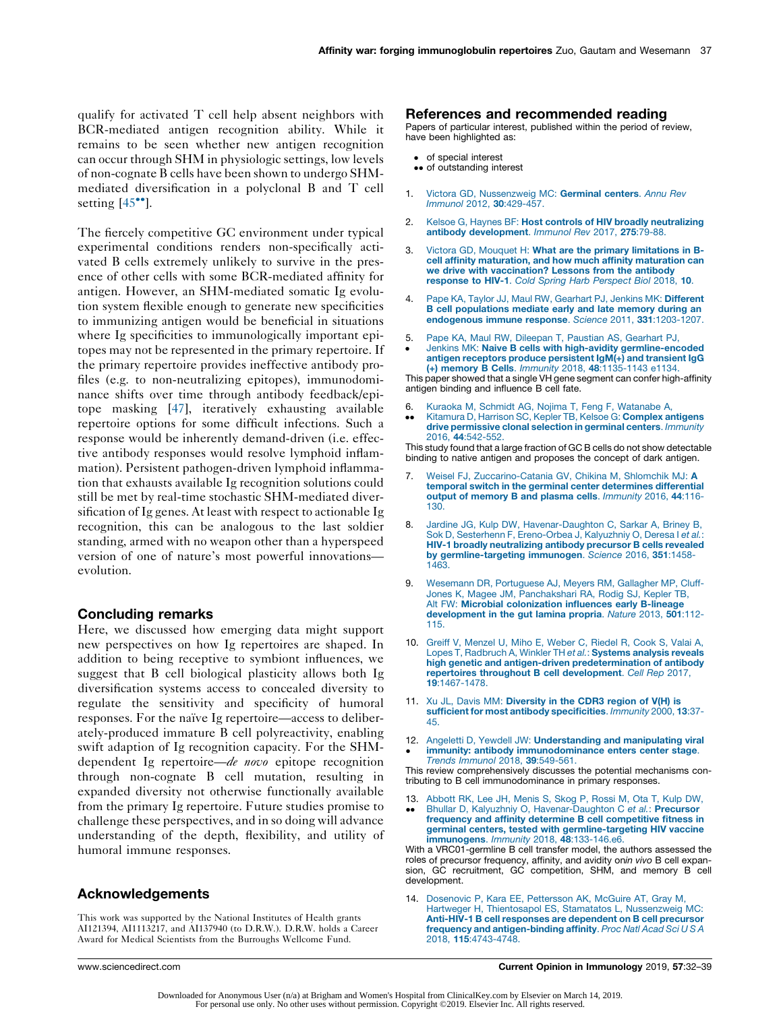<span id="page-5-0"></span>qualify for activated T cell help absent neighbors with BCR-mediated antigen recognition ability. While it remains to be seen whether new antigen recognition can occur through SHM in physiologic settings, low levels of non-cognate B cells have been shown to undergo SHMmediated diversification in a polyclonal B and T cell setting  $[45$ <sup>\*\*</sup>].

The fiercely competitive GC environment under typical experimental conditions renders non-specifically activated B cells extremely unlikely to survive in the presence of other cells with some BCR-mediated affinity for antigen. However, an SHM-mediated somatic Ig evolution system flexible enough to generate new specificities to immunizing antigen would be beneficial in situations where Ig specificities to immunologically important epitopes may not be represented in the primary repertoire. If the primary repertoire provides ineffective antibody profiles (e.g. to non-neutralizing epitopes), immunodominance shifts over time through antibody feedback/epitope masking [[47\]](#page-7-0), iteratively exhausting available repertoire options for some difficult infections. Such a response would be inherently demand-driven (i.e. effective antibody responses would resolve lymphoid inflammation). Persistent pathogen-driven lymphoid inflammation that exhausts available Ig recognition solutions could still be met by real-time stochastic SHM-mediated diversification of Ig genes. At least with respect to actionable Ig recognition, this can be analogous to the last soldier standing, armed with no weapon other than a hyperspeed version of one of nature's most powerful innovations evolution.

#### Concluding remarks

Here, we discussed how emerging data might support new perspectives on how Ig repertoires are shaped. In addition to being receptive to symbiont influences, we suggest that B cell biological plasticity allows both Ig diversification systems access to concealed diversity to regulate the sensitivity and specificity of humoral responses. For the naïve Ig repertoire—access to deliberately-produced immature B cell polyreactivity, enabling swift adaption of Ig recognition capacity. For the SHMdependent Ig repertoire—de novo epitope recognition through non-cognate B cell mutation, resulting in expanded diversity not otherwise functionally available from the primary Ig repertoire. Future studies promise to challenge these perspectives, and in so doing will advance understanding of the depth, flexibility, and utility of humoral immune responses.

## Acknowledgements

This work was supported by the National Institutes of Health grants AI121394, AI1113217, and AI137940 (to D.R.W.). D.R.W. holds a Career Award for Medical Scientists from the Burroughs Wellcome Fund.

### References and recommended reading

Papers of particular interest, published within the period of review, have been highlighted as:

- of special interest
- •• of outstanding interest
- 1. Victora GD, [Nussenzweig](http://refhub.elsevier.com/S0952-7915(18)30155-9/sbref0005) MC: Germinal centers. Annu Rev Immunol 2012, 30[:429-457.](http://refhub.elsevier.com/S0952-7915(18)30155-9/sbref0005)
- 2. Kelsoe G, Haynes BF: Host controls of HIV broadly [neutralizing](http://refhub.elsevier.com/S0952-7915(18)30155-9/sbref0010) antibody [development](http://refhub.elsevier.com/S0952-7915(18)30155-9/sbref0010). Immunol Rev 2017, 275:79-88.
- 3. Victora GD, Mouquet H: What are the primary [limitations](http://refhub.elsevier.com/S0952-7915(18)30155-9/sbref0015) in Bcell affinity [maturation,](http://refhub.elsevier.com/S0952-7915(18)30155-9/sbref0015) and how much affinity maturation can we drive with [vaccination?](http://refhub.elsevier.com/S0952-7915(18)30155-9/sbref0015) Lessons from the antibody [response](http://refhub.elsevier.com/S0952-7915(18)30155-9/sbref0015) to HIV-1. Cold Spring Harb Perspect Biol 2018, 10.
- 4. Pape KA, Taylor JJ, Maul RW, Gearhart PJ, Jenkins MK: [Different](http://refhub.elsevier.com/S0952-7915(18)30155-9/sbref0020) B cell [populations](http://refhub.elsevier.com/S0952-7915(18)30155-9/sbref0020) mediate early and late memory during an [endogenous](http://refhub.elsevier.com/S0952-7915(18)30155-9/sbref0020) immune response. Science 2011, 331:1203-1207.
- 5. Pape KA, Maul RW, Dileepan T, Paustian AS, [Gearhart](http://refhub.elsevier.com/S0952-7915(18)30155-9/sbref0025) PJ,
- $\bullet$ Jenkins MK: Naive B cells with high-avidity [germline-encoded](http://refhub.elsevier.com/S0952-7915(18)30155-9/sbref0025) antigen receptors produce [persistent](http://refhub.elsevier.com/S0952-7915(18)30155-9/sbref0025) IgM(+) and transient IgG<br>(+) memory B Cells. Immunity 2018, 48[:1135-1143](http://refhub.elsevier.com/S0952-7915(18)30155-9/sbref0025) e1134.

This paper showed that a single VH gene segment can confer high-affinity antigen binding and influence B cell fate.

6.  $\ddot{\phantom{0}}$ Kuraoka M, Schmidt AG, Nojima T, Feng F, [Watanabe](http://refhub.elsevier.com/S0952-7915(18)30155-9/sbref0030) A, Kitamura D, Harrison SC, Kepler TB, Kelsoe G: [Complex](http://refhub.elsevier.com/S0952-7915(18)30155-9/sbref0030) antigens drive [permissive](http://refhub.elsevier.com/S0952-7915(18)30155-9/sbref0030) clonal selection in germinal centers. Immunity 2016, 44[:542-552.](http://refhub.elsevier.com/S0952-7915(18)30155-9/sbref0030)

This study found that a large fraction of GC B cells do not show detectable binding to native antigen and proposes the concept of dark antigen.

- 7. Weisel FJ, [Zuccarino-Catania](http://refhub.elsevier.com/S0952-7915(18)30155-9/sbref0035) GV, Chikina M, Shlomchik MJ: A temporal switch in the germinal center [determines](http://refhub.elsevier.com/S0952-7915(18)30155-9/sbref0035) differential output of memory B and plasma cells. [Immunity](http://refhub.elsevier.com/S0952-7915(18)30155-9/sbref0035) 2016, 44:116- [130.](http://refhub.elsevier.com/S0952-7915(18)30155-9/sbref0035)
- 8. Jardine JG, Kulp DW, [Havenar-Daughton](http://refhub.elsevier.com/S0952-7915(18)30155-9/sbref0040) C, Sarkar A, Briney B, Sok D, Sesterhenn F, [Ereno-Orbea](http://refhub.elsevier.com/S0952-7915(18)30155-9/sbref0040) J, Kalyuzhniy O, Deresa I et al.: HIV-1 broadly [neutralizing](http://refhub.elsevier.com/S0952-7915(18)30155-9/sbref0040) antibody precursor B cells revealed by [germline-targeting](http://refhub.elsevier.com/S0952-7915(18)30155-9/sbref0040) immunogen. Science 2016, 351:1458- [1463.](http://refhub.elsevier.com/S0952-7915(18)30155-9/sbref0040)
- 9. Wesemann DR, [Portuguese](http://refhub.elsevier.com/S0952-7915(18)30155-9/sbref0045) AJ, Meyers RM, Gallagher MP, Cluff-Jones K, Magee JM, [Panchakshari](http://refhub.elsevier.com/S0952-7915(18)30155-9/sbref0045) RA, Rodig SJ, Kepler TB, Alt FW: Microbial [colonization](http://refhub.elsevier.com/S0952-7915(18)30155-9/sbref0045) influences early B-lineage [development](http://refhub.elsevier.com/S0952-7915(18)30155-9/sbref0045) in the gut lamina propria. Nature 2013, 501:112- [115.](http://refhub.elsevier.com/S0952-7915(18)30155-9/sbref0045)
- 10. Greiff V, [Menzel](http://refhub.elsevier.com/S0952-7915(18)30155-9/sbref0050) U, Miho E, Weber C, Riedel R, Cook S, Valai A, Lopes T, [Radbruch](http://refhub.elsevier.com/S0952-7915(18)30155-9/sbref0050) A, Winkler TH et al.: Systems analysis reveals high genetic and antigen-driven [predetermination](http://refhub.elsevier.com/S0952-7915(18)30155-9/sbref0050) of antibody repertoires throughout B cell [development](http://refhub.elsevier.com/S0952-7915(18)30155-9/sbref0050). Cell Rep 2017, 19[:1467-1478.](http://refhub.elsevier.com/S0952-7915(18)30155-9/sbref0050)
- 11. Xu JL, Davis MM: [Diversity](http://refhub.elsevier.com/S0952-7915(18)30155-9/sbref0055) in the CDR3 region of V(H) is sufficient for most antibody [specificities](http://refhub.elsevier.com/S0952-7915(18)30155-9/sbref0055). Immunity 2000, 13:37-[45.](http://refhub.elsevier.com/S0952-7915(18)30155-9/sbref0055)
- 12.  $\cdot$ Angeletti D, Yewdell JW: [Understanding](http://refhub.elsevier.com/S0952-7915(18)30155-9/sbref0060) and manipulating viral immunity: antibody [immunodominance](http://refhub.elsevier.com/S0952-7915(18)30155-9/sbref0060) enters center stage. Trends Immunol 2018, 39[:549-561.](http://refhub.elsevier.com/S0952-7915(18)30155-9/sbref0060)

This review comprehensively discusses the potential mechanisms contributing to B cell immunodominance in primary responses.

- 13.
- $\bullet$ [Abbott](http://refhub.elsevier.com/S0952-7915(18)30155-9/sbref0065) RK, Lee JH, Menis S, Skog P, Rossi M, Ota T, Kulp DW,<br>Bhullar D, Kalyuzhniy O, [Havenar-Daughton](http://refhub.elsevier.com/S0952-7915(18)30155-9/sbref0065) C e*t al*.: **Precursor** frequency and affinity determine B cell [competitive](http://refhub.elsevier.com/S0952-7915(18)30155-9/sbref0065) fitness in germinal centers, tested with [germline-targeting](http://refhub.elsevier.com/S0952-7915(18)30155-9/sbref0065) HIV vaccine [immunogens](http://refhub.elsevier.com/S0952-7915(18)30155-9/sbref0065). Immunity 2018, 48:133-146.e6.

With a VRC01-germline B cell transfer model, the authors assessed the roles of precursor frequency, affinity, and avidity onin vivo B cell expansion, GC recruitment, GC competition, SHM, and memory B cell development.

14. Dosenovic P, Kara EE, [Pettersson](http://refhub.elsevier.com/S0952-7915(18)30155-9/sbref0070) AK, McGuire AT, Gray M, Hartweger H, Thientosapol ES, Stamatatos L, [Nussenzweig](http://refhub.elsevier.com/S0952-7915(18)30155-9/sbref0070) MC: Anti-HIV-1 B cell responses are [dependent](http://refhub.elsevier.com/S0952-7915(18)30155-9/sbref0070) on B cell precursor frequency and [antigen-binding](http://refhub.elsevier.com/S0952-7915(18)30155-9/sbref0070) affinity. Proc Natl Acad Sci U S A 2018, 115[:4743-4748.](http://refhub.elsevier.com/S0952-7915(18)30155-9/sbref0070)

www.sciencedirect.com **Current Opinion in Immunology 2019, 57:32-39** Current Opinion in Immunology 2019, 57:32-39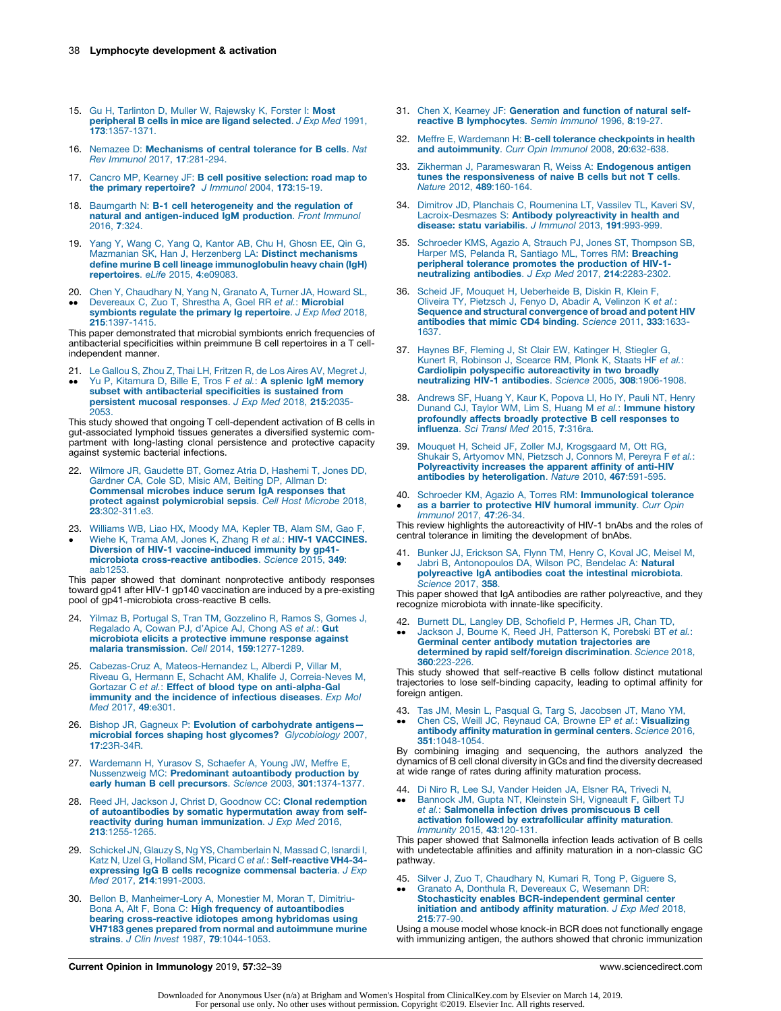- <span id="page-6-0"></span>15. Gu H, Tarlinton D, Muller W, [Rajewsky](http://refhub.elsevier.com/S0952-7915(18)30155-9/sbref0075) K, Forster I: Most [peripheral](http://refhub.elsevier.com/S0952-7915(18)30155-9/sbref0075) B cells in mice are ligand selected. J Exp Med 1991, 173[:1357-1371.](http://refhub.elsevier.com/S0952-7915(18)30155-9/sbref0075)
- 16. Nemazee D: [Mechanisms](http://refhub.elsevier.com/S0952-7915(18)30155-9/sbref0080) of central tolerance for B cells. Nat Rev Immunol 2017, 17[:281-294.](http://refhub.elsevier.com/S0952-7915(18)30155-9/sbref0080)
- 17. Cancro MP, Kearney JF: B cell positive [selection:](http://refhub.elsevier.com/S0952-7915(18)30155-9/sbref0085) road map to the primary [repertoire?](http://refhub.elsevier.com/S0952-7915(18)30155-9/sbref0085) J Immunol 2004, 173:15-19.
- 18. Baumgarth N: B-1 cell [heterogeneity](http://refhub.elsevier.com/S0952-7915(18)30155-9/sbref0090) and the regulation of natural and [antigen-induced](http://refhub.elsevier.com/S0952-7915(18)30155-9/sbref0090) IgM production. Front Immunol [2016,](http://refhub.elsevier.com/S0952-7915(18)30155-9/sbref0090) 7:324.
- 19. Yang Y, Wang C, Yang Q, [Kantor](http://refhub.elsevier.com/S0952-7915(18)30155-9/sbref0095) AB, Chu H, Ghosn EE, Qin G, Mazmanian SK, Han J, Herzenberg LA: Distinct [mechanisms](http://refhub.elsevier.com/S0952-7915(18)30155-9/sbref0095) define murine B cell lineage [immunoglobulin](http://refhub.elsevier.com/S0952-7915(18)30155-9/sbref0095) heavy chain (IgH) [repertoires](http://refhub.elsevier.com/S0952-7915(18)30155-9/sbref0095). eLife 2015, 4:e09083.
- 20. Chen Y, [Chaudhary](http://refhub.elsevier.com/S0952-7915(18)30155-9/sbref0100) N, Yang N, Granato A, Turner JA, Howard SL,<br>[Devereaux](http://refhub.elsevier.com/S0952-7915(18)30155-9/sbref0100) C, Zuo T, Shrestha A, Goel RR *et al.*: **Microbial**
- $\ddot{\phantom{0}}$ [symbionts](http://refhub.elsevier.com/S0952-7915(18)30155-9/sbref0100) regulate the primary Ig repertoire. J Exp Med 2018, 215[:1397-1415.](http://refhub.elsevier.com/S0952-7915(18)30155-9/sbref0100)

This paper demonstrated that microbial symbionts enrich frequencies of antibacterial specificities within preimmune B cell repertoires in a T cellindependent manner.

- 21. Le Gallou S, Zhou Z, Thai LH, Fritzen R, de Los Aires AV, [Megret](http://refhub.elsevier.com/S0952-7915(18)30155-9/sbref0105) J,
- $\ddot{\phantom{0}}$ Yu P, [Kitamura](http://refhub.elsevier.com/S0952-7915(18)30155-9/sbref0105) D, Bille E, Tros F et al.: A splenic IgM memory subset with [antibacterial](http://refhub.elsevier.com/S0952-7915(18)30155-9/sbref0105) specificities is sustained from<br>persistent mucosal [responses](http://refhub.elsevier.com/S0952-7915(18)30155-9/sbref0105). J Exp Med 2018, **215**:2035-[2053.](http://refhub.elsevier.com/S0952-7915(18)30155-9/sbref0105)

This study showed that ongoing T cell-dependent activation of B cells in gut-associated lymphoid tissues generates a diversified systemic compartment with long-lasting clonal persistence and protective capacity against systemic bacterial infections.

- 22. Wilmore JR, [Gaudette](http://refhub.elsevier.com/S0952-7915(18)30155-9/sbref0110) BT, Gomez Atria D, Hashemi T, Jones DD, [Gardner](http://refhub.elsevier.com/S0952-7915(18)30155-9/sbref0110) CA, Cole SD, Misic AM, Beiting DP, Allman D: [Commensal](http://refhub.elsevier.com/S0952-7915(18)30155-9/sbref0110) microbes induce serum IgA responses that protect against [polymicrobial](http://refhub.elsevier.com/S0952-7915(18)30155-9/sbref0110) sepsis. Cell Host Microbe 2018, 23[:302-311.e3.](http://refhub.elsevier.com/S0952-7915(18)30155-9/sbref0110)
- 23.  $\bullet$ [Williams](http://refhub.elsevier.com/S0952-7915(18)30155-9/sbref0115) WB, Liao HX, Moody MA, Kepler TB, Alam SM, Gao F,<br>Wiehe K, Trama AM, Jones K, Zhang R *et al.*: **HIV-1 [VACCINES.](http://refhub.elsevier.com/S0952-7915(18)30155-9/sbref0115)** Diversion of HIV-1 [vaccine-induced](http://refhub.elsevier.com/S0952-7915(18)30155-9/sbref0115) immunity by gp41-

microbiota [cross-reactive](http://refhub.elsevier.com/S0952-7915(18)30155-9/sbref0115) antibodies. Science 2015, 349: [aab1253.](http://refhub.elsevier.com/S0952-7915(18)30155-9/sbref0115)

This paper showed that dominant nonprotective antibody responses toward gp41 after HIV-1 gp140 vaccination are induced by a pre-existing pool of gp41-microbiota cross-reactive B cells.

- 24. Yilmaz B, Portugal S, Tran TM, [Gozzelino](http://refhub.elsevier.com/S0952-7915(18)30155-9/sbref0120) R, Ramos S, Gomes J, [Regalado](http://refhub.elsevier.com/S0952-7915(18)30155-9/sbref0120) A, Cowan PJ, d'Apice AJ, Chong AS et al.: Gut [microbiota](http://refhub.elsevier.com/S0952-7915(18)30155-9/sbref0120) elicits a protective immune response against malaria [transmission](http://refhub.elsevier.com/S0952-7915(18)30155-9/sbref0120). Cell 2014, 159:1277-1289.
- 25. Cabezas-Cruz A, [Mateos-Hernandez](http://refhub.elsevier.com/S0952-7915(18)30155-9/sbref0125) L, Alberdi P, Villar M, Riveau G, Hermann E, Schacht AM, Khalife J, [Correia-Neves](http://refhub.elsevier.com/S0952-7915(18)30155-9/sbref0125) M, Gortazar C et al.: Effect of blood type on [anti-alpha-Gal](http://refhub.elsevier.com/S0952-7915(18)30155-9/sbref0125) immunity and the incidence of [infectious](http://refhub.elsevier.com/S0952-7915(18)30155-9/sbref0125) diseases. Exp Mol Med 2017, 49[:e301.](http://refhub.elsevier.com/S0952-7915(18)30155-9/sbref0125)
- 26. Bishop JR, Gagneux P: Evolution of [carbohydrate](http://refhub.elsevier.com/S0952-7915(18)30155-9/sbref0130) antigensmicrobial forces shaping host glycomes? [Glycobiology](http://refhub.elsevier.com/S0952-7915(18)30155-9/sbref0130) 2007, 17[:23R-34R.](http://refhub.elsevier.com/S0952-7915(18)30155-9/sbref0130)
- 27. [Wardemann](http://refhub.elsevier.com/S0952-7915(18)30155-9/sbref0135) H, Yurasov S, Schaefer A, Young JW, Meffre E, Nussenzweig MC: Predominant [autoantibody](http://refhub.elsevier.com/S0952-7915(18)30155-9/sbref0135) production by early human B cell precursors. Science 2003, 301[:1374-1377.](http://refhub.elsevier.com/S0952-7915(18)30155-9/sbref0135)
- 28. Reed JH, Jackson J, Christ D, Goodnow CC: Clonal [redemption](http://refhub.elsevier.com/S0952-7915(18)30155-9/sbref0140) of [autoantibodies](http://refhub.elsevier.com/S0952-7915(18)30155-9/sbref0140) by somatic hypermutation away from self**reactivity during human [immunization](http://refhub.elsevier.com/S0952-7915(18)30155-9/sbref0140)**. *J Exp Med* 2016,<br>**213**[:1255-1265.](http://refhub.elsevier.com/S0952-7915(18)30155-9/sbref0140)
- 29. Schickel JN, Glauzy S, Ng YS, [Chamberlain](http://refhub.elsevier.com/S0952-7915(18)30155-9/sbref0145) N, Massad C, Isnardi I,<br>Katz N, Uzel G, Holland SM, Picard C *et al.*: **[Self-reactive](http://refhub.elsevier.com/S0952-7915(18)30155-9/sbref0145) VH4-34-**<br>expressing IgG B cells recognize [commensal](http://refhub.elsevier.com/S0952-7915(18)30155-9/sbref0145) bacteria. *J Exp* Med 2017, 214[:1991-2003.](http://refhub.elsevier.com/S0952-7915(18)30155-9/sbref0145)
- 30. Bellon B, [Manheimer-Lory](http://refhub.elsevier.com/S0952-7915(18)30155-9/sbref0150) A, Monestier M, Moran T, Dimitriu-<br>Bona A, Alt F, Bona C: **High frequency of [autoantibodies](http://refhub.elsevier.com/S0952-7915(18)30155-9/sbref0150)** bearing [cross-reactive](http://refhub.elsevier.com/S0952-7915(18)30155-9/sbref0150) idiotopes among hybridomas using VH7183 genes prepared from normal and [autoimmune](http://refhub.elsevier.com/S0952-7915(18)30155-9/sbref0150) murine strains. J Clin Invest 1987, 79[:1044-1053.](http://refhub.elsevier.com/S0952-7915(18)30155-9/sbref0150)
- 31. Chen X, Kearney JF: [Generation](http://refhub.elsevier.com/S0952-7915(18)30155-9/sbref0155) and function of natural selfreactive B [lymphocytes](http://refhub.elsevier.com/S0952-7915(18)30155-9/sbref0155). Semin Immunol 1996, 8:19-27.
- 32. Meffre E, Wardemann H: B-cell tolerance [checkpoints](http://refhub.elsevier.com/S0952-7915(18)30155-9/sbref0160) in health and [autoimmunity](http://refhub.elsevier.com/S0952-7915(18)30155-9/sbref0160). Curr Opin Immunol 2008, 20:632-638.
- 33. Zikherman J, [Parameswaran](http://refhub.elsevier.com/S0952-7915(18)30155-9/sbref0165) R, Weiss A: Endogenous antigen tunes the [responsiveness](http://refhub.elsevier.com/S0952-7915(18)30155-9/sbref0165) of naive B cells but not T cells. Nature 2012, 489[:160-164.](http://refhub.elsevier.com/S0952-7915(18)30155-9/sbref0165)
- 34. Dimitrov JD, Planchais C, [Roumenina](http://refhub.elsevier.com/S0952-7915(18)30155-9/sbref0170) LT, Vassilev TL, Kaveri SV, [Lacroix-Desmazes](http://refhub.elsevier.com/S0952-7915(18)30155-9/sbref0170) S: Antibody polyreactivity in health and disease: statu variabilis. J Immunol 2013, 191[:993-999.](http://refhub.elsevier.com/S0952-7915(18)30155-9/sbref0170)
- 35. Schroeder KMS, Agazio A, Strauch PJ, Jones ST, [Thompson](http://refhub.elsevier.com/S0952-7915(18)30155-9/sbref0175) SB, Harper MS, Pelanda R, Santiago ML, Torres RM: [Breaching](http://refhub.elsevier.com/S0952-7915(18)30155-9/sbref0175) peripheral tolerance promotes the [production](http://refhub.elsevier.com/S0952-7915(18)30155-9/sbref0175) of HIV-1-<br>[neutralizing](http://refhub.elsevier.com/S0952-7915(18)30155-9/sbref0175) antibodies. J Exp Med 2017, 214:2283-2302.
- 36. Scheid JF, Mouquet H, [Ueberheide](http://refhub.elsevier.com/S0952-7915(18)30155-9/sbref0180) B, Diskin R, Klein F, Oliveira TY, [Pietzsch](http://refhub.elsevier.com/S0952-7915(18)30155-9/sbref0180) J, Fenyo D, Abadir A, Velinzon K et al.: Sequence and structural [convergence](http://refhub.elsevier.com/S0952-7915(18)30155-9/sbref0180) of broad and potent HIV [antibodies](http://refhub.elsevier.com/S0952-7915(18)30155-9/sbref0180) that mimic CD4 binding. Science 2011, 333:1633- [1637.](http://refhub.elsevier.com/S0952-7915(18)30155-9/sbref0180)
- 37. Haynes BF, Fleming J, St Clair EW, [Katinger](http://refhub.elsevier.com/S0952-7915(18)30155-9/sbref0185) H, Stiegler G, Kunert R, [Robinson](http://refhub.elsevier.com/S0952-7915(18)30155-9/sbref0185) J, Scearce RM, Plonk K, Staats HF et al.: Cardiolipin polyspecific [autoreactivity](http://refhub.elsevier.com/S0952-7915(18)30155-9/sbref0185) in two broadly [neutralizing](http://refhub.elsevier.com/S0952-7915(18)30155-9/sbref0185) HIV-1 antibodies. Science 2005, 308:1906-1908.
- 38. [Andrews](http://refhub.elsevier.com/S0952-7915(18)30155-9/sbref0190) SF, Huang Y, Kaur K, Popova LI, Ho IY, Pauli NT, Henry<br>Dunand CJ, Taylor WM, Lim S, Huang M et al.: **[Immune](http://refhub.elsevier.com/S0952-7915(18)30155-9/sbref0190) history** [profoundly](http://refhub.elsevier.com/S0952-7915(18)30155-9/sbref0190) affects broadly protective B cell responses to [influenza](http://refhub.elsevier.com/S0952-7915(18)30155-9/sbref0190). Sci Transl Med 2015, 7:316ra.
- 39. Mouquet H, Scheid JF, Zoller MJ, [Krogsgaard](http://refhub.elsevier.com/S0952-7915(18)30155-9/sbref0195) M, Ott RG, Shukair S, [Artyomov](http://refhub.elsevier.com/S0952-7915(18)30155-9/sbref0195) MN, Pietzsch J, Connors M, Pereyra F et al.: [Polyreactivity](http://refhub.elsevier.com/S0952-7915(18)30155-9/sbref0195) increases the apparent affinity of anti-HIV antibodies by [heteroligation](http://refhub.elsevier.com/S0952-7915(18)30155-9/sbref0195). Nature 2010, 467:591-595.
- 40. Schroeder KM, Agazio A, Torres RM: [Immunological](http://refhub.elsevier.com/S0952-7915(18)30155-9/sbref0200) tolerance  $\cdot$ as a barrier to [protective](http://refhub.elsevier.com/S0952-7915(18)30155-9/sbref0200) HIV humoral immunity. Curr Opin [Immunol](http://refhub.elsevier.com/S0952-7915(18)30155-9/sbref0200) 2017, 47:26-34.

This review highlights the autoreactivity of HIV-1 bnAbs and the roles of central tolerance in limiting the development of bnAbs.

- 41. Bunker JJ, [Erickson](http://refhub.elsevier.com/S0952-7915(18)30155-9/sbref0205) SA, Flynn TM, Henry C, Koval JC, Meisel M,<br>Jabri B, [Antonopoulos](http://refhub.elsevier.com/S0952-7915(18)30155-9/sbref0205) DA, Wilson PC, Bendelac A: **Natural**
- $\cdot$ [polyreactive](http://refhub.elsevier.com/S0952-7915(18)30155-9/sbref0205) IgA antibodies coat the intestinal microbiota. [Science](http://refhub.elsevier.com/S0952-7915(18)30155-9/sbref0205) 2017, **358**.

This paper showed that IgA antibodies are rather polyreactive, and they recognize microbiota with innate-like specificity.

- 42.
- $\ddot{\phantom{0}}$ Burnett DL, Langley DB, [Schofield](http://refhub.elsevier.com/S0952-7915(18)30155-9/sbref0210) P, Hermes JR, Chan TD, Jackson J, Bourne K, Reed JH, [Patterson](http://refhub.elsevier.com/S0952-7915(18)30155-9/sbref0210) K, Porebski BT et al.: Germinal center antibody mutation [trajectories](http://refhub.elsevier.com/S0952-7915(18)30155-9/sbref0210) are determined by rapid self/foreign [discrimination](http://refhub.elsevier.com/S0952-7915(18)30155-9/sbref0210). Science 2018, 360[:223-226.](http://refhub.elsevier.com/S0952-7915(18)30155-9/sbref0210)

This study showed that self-reactive B cells follow distinct mutational trajectories to lose self-binding capacity, leading to optimal affinity for foreign antigen.

- 43. Tas JM, Mesin L, Pasqual G, Targ S, [Jacobsen](http://refhub.elsevier.com/S0952-7915(18)30155-9/sbref0215) JT, Mano YM,
- $\bullet$ Chen CS, Weill JC, Reynaud CA, Browne EP et al.: [Visualizing](http://refhub.elsevier.com/S0952-7915(18)30155-9/sbref0215) antibody affinity [maturation](http://refhub.elsevier.com/S0952-7915(18)30155-9/sbref0215) in germinal centers. Science 2016, 351[:1048-1054.](http://refhub.elsevier.com/S0952-7915(18)30155-9/sbref0215)

By combining imaging and sequencing, the authors analyzed the dynamics of B cell clonal diversity in GCs and find the diversity decreased at wide range of rates during affinity maturation process.

- 44. Di Niro R, Lee SJ, [Vander](http://refhub.elsevier.com/S0952-7915(18)30155-9/sbref0220) Heiden JA, Elsner RA, Trivedi N,
- **et al.: Salmonella infection drives [promiscuous](http://refhub.elsevier.com/S0952-7915(18)30155-9/sbref0220) B cell**<br>et al.: **Salmonella infection drives promiscuous B cell**<br>activation followed by [extrafollicular](http://refhub.elsevier.com/S0952-7915(18)30155-9/sbref0220) affinity maturation.<br>*Immunity* 2015, 43[:120-131.](http://refhub.elsevier.com/S0952-7915(18)30155-9/sbref0220)<br>This paper showed t Bannock JM, Gupta NT, [Kleinstein](http://refhub.elsevier.com/S0952-7915(18)30155-9/sbref0220) SH, Vigneault F, Gilbert TJ

with undetectable affinities and affinity maturation in a non-classic GC pathway.

- 45. Silver J, Zuo T, [Chaudhary](http://refhub.elsevier.com/S0952-7915(18)30155-9/sbref0225) N, Kumari R, Tong P, Giguere S,
- $\ddot{\phantom{0}}$ Granato A, Donthula R, Devereaux C, [Wesemann](http://refhub.elsevier.com/S0952-7915(18)30155-9/sbref0225) DR: Stochasticity enables [BCR-independent](http://refhub.elsevier.com/S0952-7915(18)30155-9/sbref0225) germinal center initiation and antibody affinity [maturation](http://refhub.elsevier.com/S0952-7915(18)30155-9/sbref0225). J Exp Med 2018, 215[:77-90.](http://refhub.elsevier.com/S0952-7915(18)30155-9/sbref0225)

Using a mouse model whose knock-in BCR does not functionally engage with immunizing antigen, the authors showed that chronic immunization

Current Opinion in Immunology 2019, 57:32–39 www.sciencedirect.com